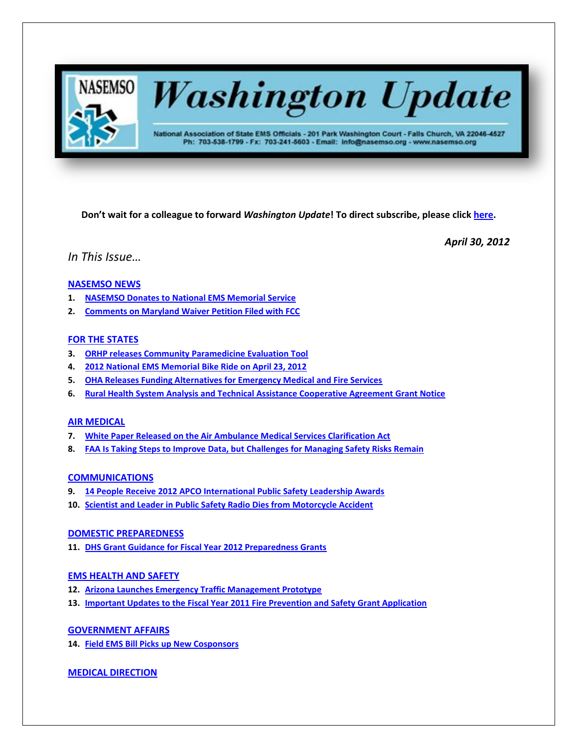

# **Washington Update**

National Association of State EMS Officials - 201 Park Washington Court - Falls Church, VA 22046-4527 Ph: 703-538-1799 - Fx: 703-241-5603 - Email: info@nasemso.org - www.nasemso.org

**Don't wait for a colleague to forward** *Washington Update***! To direct subscribe, please click [here.](http://lists.nasemso.org/read/all_forums/subscribe?name=wu%20)**

*April 30, 2012*

*In This Issue…*

# **[NASEMSO NEWS](#page-1-0)**

- **1. [NASEMSO Donates to National EMS Memorial Service](#page-1-1)**
- **2. [Comments on Maryland Waiver Petition Filed with FCC](#page-1-2)**

# **FOR THE STATES**

- **3. [ORHP releases Community Paramedicine Evaluation Tool](#page-2-0)**
- **4. [2012 National EMS Memorial Bike Ride on April 23, 2012](#page-2-1)**
- **5. [OHA Releases Funding Alternatives for Emergency Medical and Fire Services](#page-2-2)**
- **6. [Rural Health System Analysis and Technical Assistance Cooperative Agreement Grant Notice](#page-2-3)**

# **[AIR MEDICAL](#page-3-0)**

- **7. [White Paper Released on the Air Ambulance Medical Services Clarification Act](#page-3-1)**
- **8. FAA Is [Taking Steps to Improve Data, but Challenges for Managing Safety Risks Remain](#page-3-2)**

# **[COMMUNICATIONS](#page-3-3)**

- **9. 14 People Receive 2012 APCO [International](#page-3-4) Public Safety Leadership Awards**
- **10. [Scientist and Leader in Public Safety Radio Dies from Motorcycle Accident](#page-3-5)**

# **[DOMESTIC PREPAREDNESS](#page-3-6)**

**11. [DHS Grant Guidance for Fiscal Year 2012 Preparedness Grants](#page-3-7)**

# **[EMS HEALTH AND SAFETY](#page-4-0)**

- **12. [Arizona Launches Emergency Traffic Management Prototype](#page-4-1)**
- **13. [Important Updates to the Fiscal Year 2011 Fire Prevention and Safety Grant Application](#page-4-2)**

# **[GOVERNMENT AFFAIRS](#page-4-3)**

**14. [Field EMS Bill Picks up New Cosponsors](#page-4-4)**

# **MEDICAL [DIRECTION](#page-4-5)**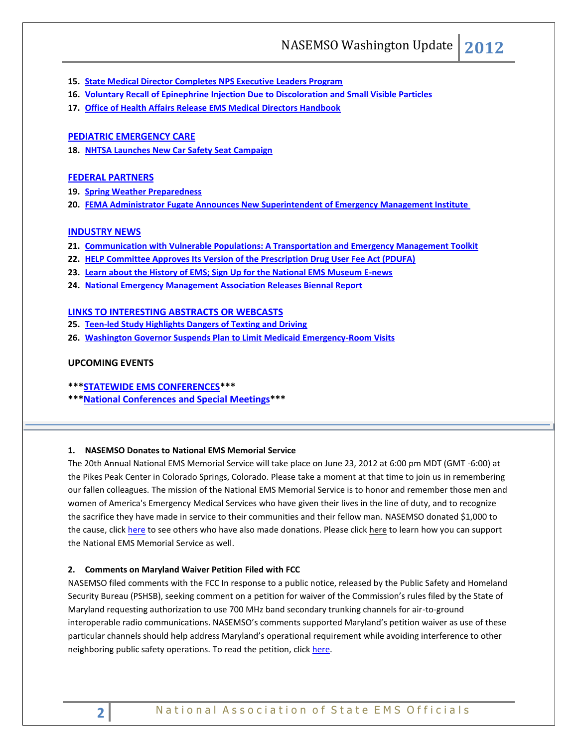- **15. [State Medical Director Completes NPS Executive Leaders Program](#page-4-6)**
- **16. [Voluntary Recall of Epinephrine Injection Due to Discoloration and Small Visible Particles](#page-5-0)**
- **17. [Office of Health Affairs Release EMS Medical Directors Handbook](#page-5-1)**

#### **[PEDIATRIC EMERGENCY CARE](#page-5-2)**

**18. [NHTSA Launches New Car Safety Seat Campaign](#page-5-3)**

#### **[FEDERAL PARTNERS](#page-5-4)**

- **19. [Spring Weather Preparedness](#page-5-5)**
- **20. [FEMA Administrator Fugate Announces New Superintendent of Emergency Management Institute](#page-5-6)**

#### **[INDUSTRY NEWS](#page-5-7)**

- **21. [Communication with Vulnerable Populations: A Transportation and Emergency Management Toolkit](#page-5-8)**
- **22. [HELP Committee Approves Its Version of the Prescription Drug User Fee Act \(PDUFA\)](#page-5-9)**
- **23. [Learn about the History of EMS; Sign Up for the National EMS Museum E-news](#page-6-0)**
- **24. National [Emergency Management Association Releases Biennal Report](#page-6-1)**

# **[LINKS TO INTERESTING ABSTRACTS OR WEBCASTS](#page-6-2)**

- **25. [Teen-led Study Highlights Dangers of Texting and Driving](#page-6-3)**
- **26. [Washington Governor Suspends Plan to Limit Medicaid Emergency-Room Visits](#page-6-4)**

# **UPCOMING EVENTS**

**\*\*[\\*STATEWIDE EMS CONFERENCES\\*](#page-6-5)\*\***

**\*\*[\\*National Conferences and Special Meetings\\*](#page-7-0)\*\***

#### <span id="page-1-1"></span><span id="page-1-0"></span>**1. NASEMSO Donates to National EMS Memorial Service**

The 20th Annual National EMS Memorial Service will take place on June 23, 2012 at 6:00 pm MDT (GMT -6:00) at the Pikes Peak Center in Colorado Springs, Colorado. Please take a moment at that time to join us in remembering our fallen colleagues. The mission of the National EMS Memorial Service is to honor and remember those men and women of America's Emergency Medical Services who have given their lives in the line of duty, and to recognize the sacrifice they have made in service to their communities and their fellow man. NASEMSO donated \$1,000 to the cause, clic[k here](http://nemsms.org/sponsors.htm) to see others who have also made donations. Please click [here](http://nemsms.org/support.htm) to learn how you can support the National EMS Memorial Service as well.

#### <span id="page-1-2"></span>**2. Comments on Maryland Waiver Petition Filed with FCC**

NASEMSO filed comments with the FCC In response to a public notice, released by the Public Safety and Homeland Security Bureau (PSHSB), seeking comment on a petition for waiver of the Commission's rules filed by the State of Maryland requesting authorization to use 700 MHz band secondary trunking channels for air-to-ground interoperable radio communications. NASEMSO's comments supported Maryland's petition waiver as use of these particular channels should help address Maryland's operational requirement while avoiding interference to other neighboring public safety operations. To read the petition, click [here.](http://www.fcc.gov/document/petition-operate-air-ground-radio-700-mhz-trunking-channels)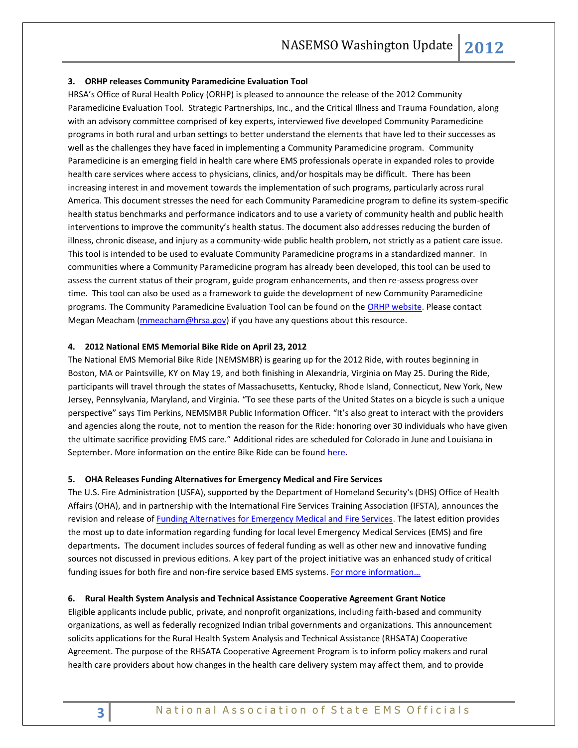#### <span id="page-2-0"></span>**3. ORHP releases Community Paramedicine Evaluation Tool**

HRSA's Office of Rural Health Policy (ORHP) is pleased to announce the release of the 2012 Community Paramedicine Evaluation Tool. Strategic Partnerships, Inc., and the Critical Illness and Trauma Foundation, along with an advisory committee comprised of key experts, interviewed five developed Community Paramedicine programs in both rural and urban settings to better understand the elements that have led to their successes as well as the challenges they have faced in implementing a Community Paramedicine program. Community Paramedicine is an emerging field in health care where EMS professionals operate in expanded roles to provide health care services where access to physicians, clinics, and/or hospitals may be difficult. There has been increasing interest in and movement towards the implementation of such programs, particularly across rural America. This document stresses the need for each Community Paramedicine program to define its system-specific health status benchmarks and performance indicators and to use a variety of community health and public health interventions to improve the community's health status. The document also addresses reducing the burden of illness, chronic disease, and injury as a community-wide public health problem, not strictly as a patient care issue. This tool is intended to be used to evaluate Community Paramedicine programs in a standardized manner. In communities where a Community Paramedicine program has already been developed, this tool can be used to assess the current status of their program, guide program enhancements, and then re-assess progress over time. This tool can also be used as a framework to guide the development of new Community Paramedicine programs. The Community Paramedicine Evaluation Tool can be found on the [ORHP website.](http://www.hrsa.gov/ruralhealth/pdf/paramedicevaltool.pdf) Please contact Megan Meacham [\(mmeacham@hrsa.gov\)](mailto:mmeacham@hrsa.gov) if you have any questions about this resource.

# <span id="page-2-1"></span>**4. 2012 National EMS Memorial Bike Ride on April 23, 2012**

The National EMS Memorial Bike Ride (NEMSMBR) is gearing up for the 2012 Ride, with routes beginning in Boston, MA or Paintsville, KY on May 19, and both finishing in Alexandria, Virginia on May 25. During the Ride, participants will travel through the states of Massachusetts, Kentucky, Rhode Island, Connecticut, New York, New Jersey, Pennsylvania, Maryland, and Virginia. "To see these parts of the United States on a bicycle is such a unique perspective" says Tim Perkins, NEMSMBR Public Information Officer. "It's also great to interact with the providers and agencies along the route, not to mention the reason for the Ride: honoring over 30 individuals who have given the ultimate sacrifice providing EMS care." Additional rides are scheduled for Colorado in June and Louisiana in September. More information on the entire Bike Ride can be found [here.](http://www.muddyangels.com/)

#### <span id="page-2-2"></span>**5. OHA Releases Funding Alternatives for Emergency Medical and Fire Services**

The U.S. Fire Administration (USFA), supported by the Department of Homeland Security's (DHS) Office of Health Affairs (OHA), and in partnership with the International Fire Services Training Association (IFSTA), announces the revision and release of **Funding Alternatives for Emergency Medical and Fire Services**. The latest edition provides the most up to date information regarding funding for local level Emergency Medical Services (EMS) and fire departments**.** The document includes sources of federal funding as well as other new and innovative funding sources not discussed in previous editions. A key part of the project initiative was an enhanced study of critical funding issues for both fire and non-fire service based EMS systems. For more [information](http://www.usfa.fema.gov/fireservice/research/ems/ems_funding.shtm)...

#### <span id="page-2-3"></span>**6. Rural Health System Analysis and Technical Assistance Cooperative Agreement Grant Notice**

Eligible applicants include public, private, and nonprofit organizations, including faith-based and community organizations, as well as federally recognized Indian tribal governments and organizations. This announcement solicits applications for the Rural Health System Analysis and Technical Assistance (RHSATA) Cooperative Agreement. The purpose of the RHSATA Cooperative Agreement Program is to inform policy makers and rural health care providers about how changes in the health care delivery system may affect them, and to provide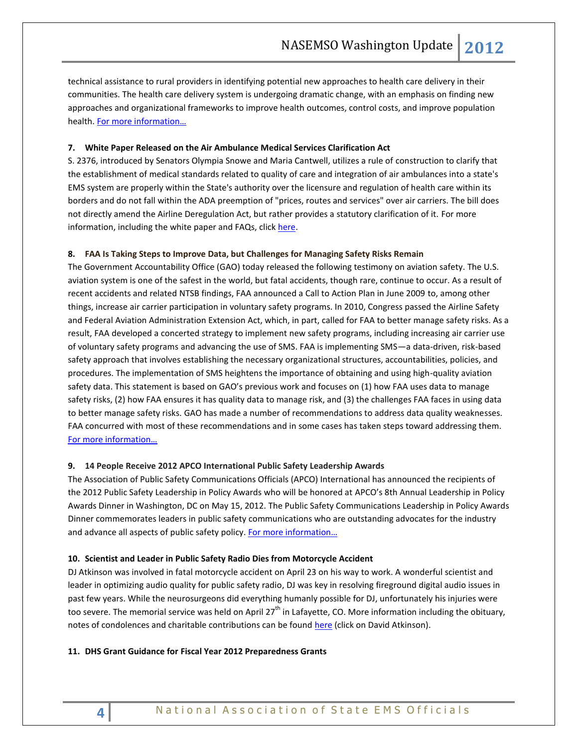<span id="page-3-3"></span>technical assistance to rural providers in identifying potential new approaches to health care delivery in their communities. The health care delivery system is undergoing dramatic change, with an emphasis on finding new approaches and organizational frameworks to improve health outcomes, control costs, and improve population health. [For more information…](https://grants.hrsa.gov/webExternal/FundingOppDetails.asp?FundingCycleId=6F4D5A13-99BC-41AA-A6AA-0E83F0D3C511&ViewMode=EU&GoBack=&PrintMode=&OnlineAvailabilityFlag=&pageNumber=&version=&NC=&Popup=)

#### <span id="page-3-1"></span><span id="page-3-0"></span>**7. White Paper Released on the Air Ambulance Medical Services Clarification Act**

S. 2376, introduced by Senators Olympia Snowe and Maria Cantwell, utilizes a rule of construction to clarify that the establishment of medical standards related to quality of care and integration of air ambulances into a state's EMS system are properly within the State's authority over the licensure and regulation of health care within its borders and do not fall within the ADA preemption of "prices, routes and services" over air carriers. The bill does not directly amend the Airline Deregulation Act, but rather provides a statutory clarification of it. For more information, including the white paper and FAQs, clic[k here.](http://www.nasemso.org/Projects/AirMedical/index.asp)

#### <span id="page-3-2"></span>**8. FAA Is Taking Steps to Improve Data, but Challenges for Managing Safety Risks Remain**

The Government Accountability Office (GAO) today released the following testimony on aviation safety. The U.S. aviation system is one of the safest in the world, but fatal accidents, though rare, continue to occur. As a result of recent accidents and related NTSB findings, FAA announced a Call to Action Plan in June 2009 to, among other things, increase air carrier participation in voluntary safety programs. In 2010, Congress passed the Airline Safety and Federal Aviation Administration Extension Act, which, in part, called for FAA to better manage safety risks. As a result, FAA developed a concerted strategy to implement new safety programs, including increasing air carrier use of voluntary safety programs and advancing the use of SMS. FAA is implementing SMS—a data-driven, risk-based safety approach that involves establishing the necessary organizational structures, accountabilities, policies, and procedures. The implementation of SMS heightens the importance of obtaining and using high-quality aviation safety data. This statement is based on GAO's previous work and focuses on (1) how FAA uses data to manage safety risks, (2) how FAA ensures it has quality data to manage risk, and (3) the challenges FAA faces in using data to better manage safety risks. GAO has made a number of recommendations to address data quality weaknesses. FAA concurred with most of these recommendations and in some cases has taken steps toward addressing them. [For more information…](http://www.gao.gov/products/GAO-12-660T)

#### <span id="page-3-4"></span>**9. 14 People Receive 2012 APCO [International](http://psc.apcointl.org/2012/04/25/14-people-receive-2012-apco-international-public-safety-leadership-awards/) Public Safety Leadership Awards**

The Association of Public Safety Communications Officials (APCO) International has announced the recipients of the 2012 Public Safety Leadership in Policy Awards who will be honored at APCO's 8th Annual Leadership in Policy Awards Dinner in Washington, DC on May 15, 2012. The Public Safety Communications Leadership in Policy Awards Dinner commemorates leaders in public safety communications who are outstanding advocates for the industry and advance all aspects of public safety policy. For more information...

#### <span id="page-3-5"></span>**10. Scientist and Leader in Public Safety Radio Dies from Motorcycle Accident**

DJ Atkinson was involved in fatal motorcycle accident on April 23 on his way to work. A wonderful scientist and leader in optimizing audio quality for public safety radio, DJ was key in resolving fireground digital audio issues in past few years. While the neurosurgeons did everything humanly possible for DJ, unfortunately his injuries were too severe. The memorial service was held on April 27<sup>th</sup> in Lafayette, CO. More information including the obituary, notes of condolences and charitable contributions can be found [here](http://www.rundus.com/runtime.php?SiteId=114708&NavigatorId=390305) (click on David Atkinson).

#### <span id="page-3-7"></span><span id="page-3-6"></span>**11. DHS Grant Guidance for Fiscal Year 2012 Preparedness Grants**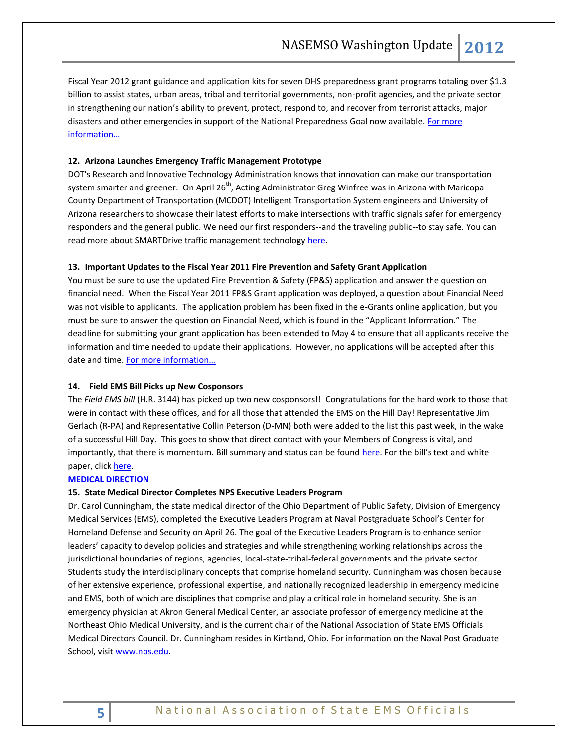Fiscal Year 2012 grant guidance and application kits for seven DHS preparedness grant programs totaling over \$1.3 billion to assist states, urban areas, tribal and territorial governments, non-profit agencies, and the private sector in strengthening our nation's ability to prevent, protect, respond to, and recover from terrorist attacks, major disasters and other emergencies in support of the National Preparedness Goal now available. For more [information…](http://www.dhs.gov/ynews/releases/20110217-dhs-fy12-grant-guidance.shtm)

#### <span id="page-4-1"></span><span id="page-4-0"></span>**12. Arizona Launches Emergency Traffic Management Prototype**

DOT's Research and Innovative Technology Administration knows that innovation can make our transportation system smarter and greener. On April 26<sup>th</sup>, Acting Administrator Greg Winfree was in Arizona with Maricopa County Department of Transportation (MCDOT) Intelligent Transportation System engineers and University of Arizona researchers to showcase their latest efforts to make intersections with traffic signals safer for emergency responders and the general public. We need our first responders--and the traveling public--to stay safe. You can read more about SMARTDrive traffic management technology [here.](http://fastlane.dot.gov/2012/04/arizona-dot-and-partners-roll-out-high-tech-traffic-management-prototype.html)

#### <span id="page-4-2"></span>**13. Important Updates to the Fiscal Year 2011 Fire Prevention and Safety Grant Application**

You must be sure to use the updated Fire Prevention & Safety (FP&S) application and answer the question on financial need. When the Fiscal Year 2011 FP&S Grant application was deployed, a question about Financial Need was not visible to applicants. The application problem has been fixed in the e-Grants online application, but you must be sure to answer the question on Financial Need, which is found in the "Applicant Information." The deadline for submitting your grant application has been extended to May 4 to ensure that all applicants receive the information and time needed to update their applications. However, no applications will be accepted after this date and time. For more information...

#### <span id="page-4-4"></span><span id="page-4-3"></span>**14. Field EMS Bill Picks up New Cosponsors**

The *Field EMS bill* (H.R. 3144) has picked up two new cosponsors!!Congratulations for the hard work to those that were in contact with these offices, and for all those that attended the EMS on the Hill Day! Representative Jim Gerlach (R-PA) and Representative Collin Peterson (D-MN) both were added to the list this past week, in the wake of a successful Hill Day. This goes to show that direct contact with your Members of Congress is vital, and importantly, that there is momentum. Bill summary and status can be found [here.](http://thomas.loc.gov/cgi-bin/bdquery/D?d112:1:./temp/~bdvGVo::|/home/LegislativeData.php?n=BSS;c=112|) For the bill's text and white paper, click [here.](http://www.advocatesforems.org/index.php?option=com_content&view=article&id=36)

#### <span id="page-4-5"></span>**MEDICAL DIRECTION**

#### <span id="page-4-6"></span>**15. State Medical Director Completes NPS Executive Leaders Program**

Dr. Carol Cunningham, the state medical director of the Ohio Department of Public Safety, Division of Emergency Medical Services (EMS), completed the Executive Leaders Program at Naval Postgraduate School's Center for Homeland Defense and Security on April 26. The goal of the Executive Leaders Program is to enhance senior leaders' capacity to develop policies and strategies and while strengthening working relationships across the jurisdictional boundaries of regions, agencies, local-state-tribal-federal governments and the private sector. Students study the interdisciplinary concepts that comprise homeland security. Cunningham was chosen because of her extensive experience, professional expertise, and nationally recognized leadership in emergency medicine and EMS, both of which are disciplines that comprise and play a critical role in homeland security. She is an emergency physician at Akron General Medical Center, an associate professor of emergency medicine at the Northeast Ohio Medical University, and is the current chair of the National Association of State EMS Officials Medical Directors Council. Dr. Cunningham resides in Kirtland, Ohio. For information on the Naval Post Graduate School, visit [www.nps.edu.](http://www.nps.edu/)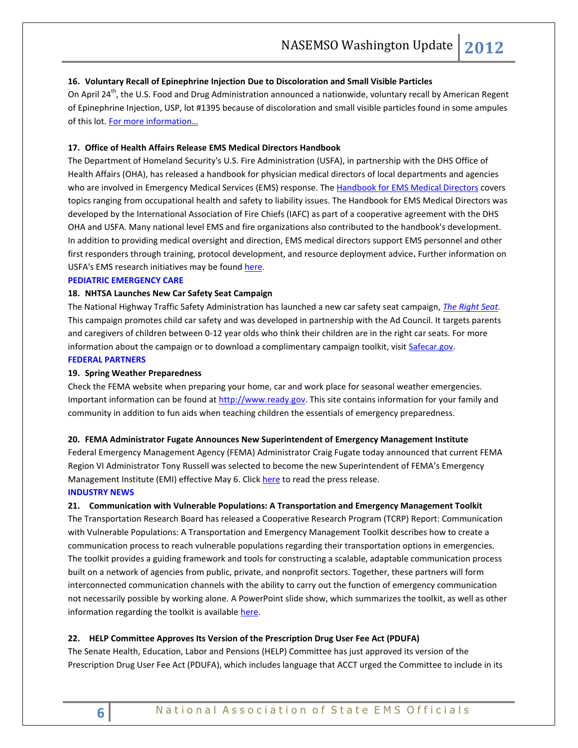## <span id="page-5-0"></span>**16. Voluntary Recall of Epinephrine Injection Due to Discoloration and Small Visible Particles**

On April 24<sup>th</sup>, the U.S. Food and Drug Administration announced a nationwide, voluntary recall by American Regent of Epinephrine Injection, USP, lot #1395 because of discoloration and small visible particles found in some ampules of this lot. [For more information…](http://www.fda.gov/Safety/Recalls/ucm301783.htm)

#### <span id="page-5-1"></span>**17. Office of Health Affairs Release EMS Medical Directors Handbook**

The Department of Homeland Security's U.S. Fire Administration (USFA), in partnership with the DHS Office of Health Affairs (OHA), has released a handbook for physician medical directors of local departments and agencies who are involved in Emergency Medical Services (EMS) response. Th[e Handbook for EMS Medical Directors](http://links.govdelivery.com/track?type=click&enid=ZWFzPTEmbWFpbGluZ2lkPTIwMTIwNDI1LjcwODc5NTEmbWVzc2FnZWlkPU1EQi1QUkQtQlVMLTIwMTIwNDI1LjcwODc5NTEmZGF0YWJhc2VpZD0xMDAxJnNlcmlhbD0xNjk2NDg3OCZlbWFpbGlkPWFsdGVyQG5hc2Vtc28ub3JnJnVzZXJpZD1hbHRlckBuYXNlbXNvLm9yZyZmbD0mZXh0cmE9TXVsdGl2YXJpYXRlSWQ9JiYm&&&102&&&http://www.usfa.fema.gov/downloads/pdf/publications/handbook_for_ems_medical_directors.pdf) covers topics ranging from occupational health and safety to liability issues. The Handbook for EMS Medical Directors was developed by the International Association of Fire Chiefs (IAFC) as part of a cooperative agreement with the DHS OHA and USFA. Many national level EMS and fire organizations also contributed to the handbook's development. In addition to providing medical oversight and direction, EMS medical directors support EMS personnel and other first responders through training, protocol development, and resource deployment advice**.** Further information on USFA's EMS research initiatives may be found [here.](http://www.usfa.fema.gov/fireservice/research/ems/index.shtm)

## <span id="page-5-2"></span>**PEDIATRIC EMERGENCY CARE**

#### <span id="page-5-3"></span>**18. NHTSA Launches New Car Safety Seat Campaign**

The National Highway Traffic Safety Administration has launched a new car safety seat campaign, *[The Right Seat.](http://click.bsftransmit1.com/ClickThru.aspx?pubids=8731%7c9305%7c445%7c497&digest=Hev2APdYtounfdTfvZk0fg&sysid=1)* This campaign promotes child car safety and was developed in partnership with the Ad Council. It targets parents and caregivers of children between 0-12 year olds who think their children are in the right car seats. For more information about the campaign or to download a complimentary campaign toolkit, visit [Safecar.gov.](http://click.bsftransmit1.com/ClickThru.aspx?pubids=8731%7c9306%7c445%7c497&digest=5zC2ieS%2f9j6k9uambnr1Zw&sysid=1) **FEDERAL PARTNERS**

#### <span id="page-5-5"></span><span id="page-5-4"></span>**19. Spring Weather Preparedness**

Check the FEMA website when preparing your home, car and work place for seasonal weather emergencies. Important information can be found at [http://www.ready.gov.](http://www.ready.gov/) This site contains information for your family and community in addition to fun aids when teaching children the essentials of emergency preparedness.

#### <span id="page-5-6"></span>**20. FEMA Administrator Fugate Announces New Superintendent of Emergency Management Institute**

Federal Emergency Management Agency (FEMA) Administrator Craig Fugate today announced that current FEMA Region VI Administrator Tony Russell was selected to become the new Superintendent of FEMA's Emergency Management Institute (EMI) effective May 6. Click [here](http://www.fema.gov/news/newsrelease.fema?id=62438) to read the press release.

#### <span id="page-5-7"></span>**INDUSTRY NEWS**

#### <span id="page-5-8"></span>**21. Communication with Vulnerable Populations: A Transportation and Emergency Management Toolkit**

The Transportation Research Board has released a Cooperative Research Program (TCRP) Report: Communication with Vulnerable Populations: A Transportation and Emergency Management Toolkit describes how to create a communication process to reach vulnerable populations regarding their transportation options in emergencies. The toolkit provides a guiding framework and tools for constructing a scalable, adaptable communication process built on a network of agencies from public, private, and nonprofit sectors. Together, these partners will form interconnected communication channels with the ability to carry out the function of emergency communication not necessarily possible by working alone. A PowerPoint slide show, which summarizes the toolkit, as well as other information regarding the toolkit is available [here.](http://www.trb.org/SecurityEmergencies/Blurbs/166060.aspx)

#### <span id="page-5-9"></span>**22. HELP Committee Approves Its Version of the Prescription Drug User Fee Act (PDUFA)**

The Senate Health, Education, Labor and Pensions (HELP) Committee has just approved its version of the Prescription Drug User Fee Act (PDUFA), which includes language that ACCT urged the Committee to include in its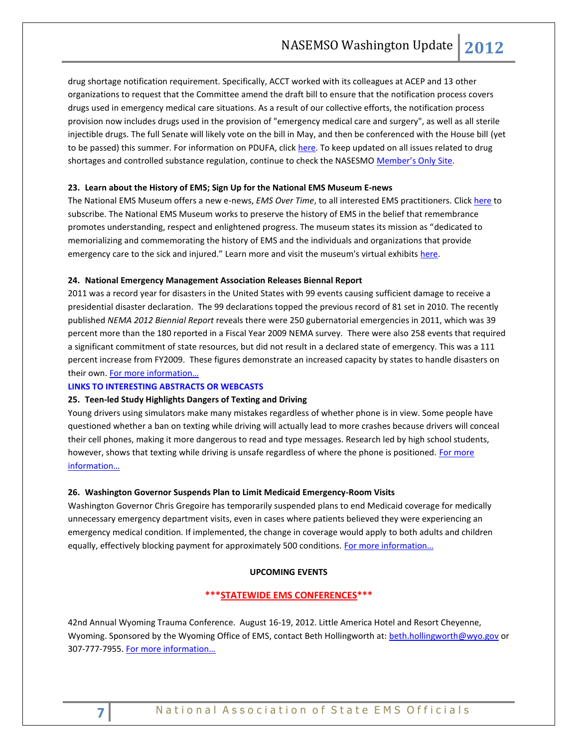drug shortage notification requirement. Specifically, ACCT worked with its colleagues at ACEP and 13 other organizations to request that the Committee amend the draft bill to ensure that the notification process covers drugs used in emergency medical care situations. As a result of our collective efforts, the notification process provision now includes drugs used in the provision of "emergency medical care and surgery", as well as all sterile injectible drugs. The full Senate will likely vote on the bill in May, and then be conferenced with the House bill (yet to be passed) this summer. For information on PDUFA, click [here.](http://www.fda.gov/ForIndustry/UserFees/PrescriptionDrugUserFee/default.htm) To keep updated on all issues related to drug shortages and controlled substance regulation, continue to check the NASESMO [Member's Only](https://www.nasemso.org/Members/IssueBrief-DrugShortages.asp) Site.

#### <span id="page-6-0"></span>**23. Learn about the History of EMS; Sign Up for the National EMS Museum E-news**

The National EMS Museum offers a new e-news, *EMS Over Time*, to all interested EMS practitioners. Click [here](http://www.emsmuseum.org/registration/) to subscribe. The National EMS Museum works to preserve the history of EMS in the belief that remembrance promotes understanding, respect and enlightened progress. The museum states its mission as "dedicated to memorializing and commemorating the history of EMS and the individuals and organizations that provide emergency care to the sick and injured." Learn more and visit the museum's virtual exhibits [here.](http://www.emsmuseum.org/)

#### <span id="page-6-1"></span>**24. National Emergency Management Association Releases Biennal Report**

2011 was a record year for disasters in the United States with 99 events causing sufficient damage to receive a presidential disaster declaration. The 99 declarations topped the previous record of 81 set in 2010. The recently published *NEMA 2012 Biennial Report* reveals there were 250 gubernatorial emergencies in 2011, which was 39 percent more than the 180 reported in a Fiscal Year 2009 NEMA survey. There were also 258 events that required a significant commitment of state resources, but did not result in a declared state of emergency. This was a 111 percent increase from FY2009. These figures demonstrate an increased capacity by states to handle disasters on their own. [For more information…](http://www.nemaweb.org/index.php?option=com_content&view=article&id=477&catid=63:nema-registered-user-news-current)

#### <span id="page-6-2"></span>**LINKS TO INTERESTING ABSTRACTS OR WEBCASTS**

#### <span id="page-6-3"></span>**25. Teen-led Study Highlights Dangers of Texting and Driving**

Young drivers using simulators make many mistakes regardless of whether phone is in view. Some people have questioned whether a ban on texting while driving will actually lead to more crashes because drivers will conceal their cell phones, making it more dangerous to read and type messages. Research led by high school students, however, shows that texting while driving is unsafe regardless of where the phone is positioned. [For more](http://www.aap.org/en-us/about-the-aap/aap-press-room/pages/Teen-led-study-highlights-dangers-of-texting-and-driving.aspx)  [information…](http://www.aap.org/en-us/about-the-aap/aap-press-room/pages/Teen-led-study-highlights-dangers-of-texting-and-driving.aspx)

#### <span id="page-6-4"></span>**26. Washington Governor Suspends Plan to Limit Medicaid Emergency-Room Visits**

Washington Governor Chris Gregoire has temporarily suspended plans to end Medicaid coverage for medically unnecessary emergency department visits, even in cases where patients believed they were experiencing an emergency medical condition. If implemented, the change in coverage would apply to both adults and children equally, effectively blocking payment for approximately 500 conditions. For more information...

#### **UPCOMING EVENTS**

# **\*\*\*STATEWIDE EMS CONFERENCES\*\*\***

<span id="page-6-5"></span>42nd Annual Wyoming Trauma Conference. August 16-19, 2012. Little America Hotel and Resort Cheyenne, Wyoming. Sponsored by the Wyoming Office of EMS, contact Beth Hollingworth at: [beth.hollingworth@wyo.gov](mailto:beth.hollingworth@wyo.gov) or 307-777-7955. [For more information…](http://health.wyo.gov/sho/ems/conferences.html)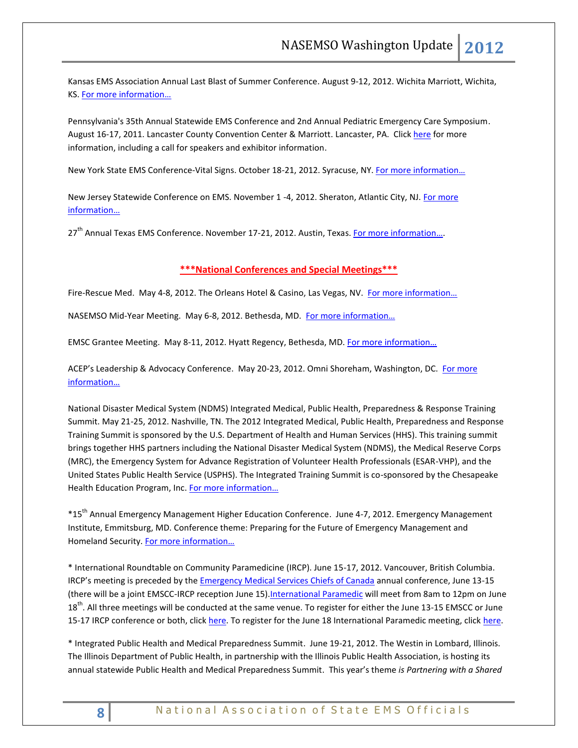Kansas EMS Association Annual Last Blast of Summer Conference. August 9-12, 2012. Wichita Marriott, Wichita, KS. [For more information…](http://www.kemsa.org/LBOS.html) 

Pennsylvania's 35th Annual Statewide EMS Conference and 2nd Annual Pediatric Emergency Care Symposium. August 16-17, 2011. Lancaster County Convention Center & Marriott. Lancaster, PA. Click [here](http://www.cvent.com/events/35th-annual-pennsylvania-statewide-ems-conference/event-summary-dd4555c433834f8aada4af9332575af6.aspx) for more information, including a call for speakers and exhibitor information.

New York State EMS Conference-Vital Signs. October 18-21, 2012. Syracuse, NY. For more information...

New Jersey Statewide Conference on EMS. November 1 -4, 2012. Sheraton, Atlantic City, NJ[. For more](http://www.njemsconference.com/)  [information](http://www.njemsconference.com/)…

27<sup>th</sup> Annual Texas EMS Conference. November 17-21, 2012. Austin, Texas[. For more information](http://www.texasemsconference.com/)...

# **\*\*\*National Conferences and Special Meetings\*\*\***

<span id="page-7-0"></span>Fire-Rescue Med. May 4-8, 2012. The Orleans Hotel & Casino, Las Vegas, NV. For more information...

NASEMSO Mid-Year Meeting. May 6-8, 2012. Bethesda, MD. For more information...

EMSC Grantee Meeting. May 8-11, 2012. Hyatt Regency, Bethesda, MD. [For more information…](http://www.childrensnational.org/EMSC/Events/Annual_Grantee.aspx)

ACEP's Leadership & Advocacy Conference. May 20-23, 2012. Omni Shoreham, Washington, DC. For more [information…](http://www.acep.org/LACHome.aspx?MeetingId=LAC)

National Disaster Medical System (NDMS) Integrated Medical, Public Health, Preparedness & Response Training Summit. May 21-25, 2012. Nashville, TN. The 2012 Integrated Medical, Public Health, Preparedness and Response Training Summit is sponsored by the U.S. Department of Health and Human Services (HHS). This training summit brings together HHS partners including the National Disaster Medical System (NDMS), the Medical Reserve Corps (MRC), the Emergency System for Advance Registration of Volunteer Health Professionals (ESAR-VHP), and the United States Public Health Service (USPHS). The Integrated Training Summit is co-sponsored by the Chesapeake Health Education Program, Inc. [For more information…](http://teams.hhs.gov/conference/)

\*15th Annual Emergency Management Higher Education Conference. June 4-7, 2012. Emergency Management Institute, Emmitsburg, MD. Conference theme: Preparing for the Future of Emergency Management and Homeland Security. [For more information…](http://training.fema.gov/EMIWeb/edu/educonference12.asp)

\* International Roundtable on Community Paramedicine (IRCP). June 15-17, 2012. Vancouver, British Columbia. IRCP's meeting is preceded by the [Emergency Medical Services Chiefs of Canada](http://www.emscc.ca/) annual conference, June 13-15 (there will be a joint EMSCC-IRCP reception June 15). International Paramedic will meet from 8am to 12pm on June 18<sup>th</sup>. All three meetings will be conducted at the same venue. To register for either the June 13-15 EMSCC or June 15-17 IRCP conference or both, click [here.](http://www.internationalparamedic.org/) To register for the June 18 International Paramedic meeting, click here.

\* Integrated Public Health and Medical Preparedness Summit. June 19-21, 2012. The Westin in Lombard, Illinois. The Illinois Department of Public Health, in partnership with the Illinois Public Health Association, is hosting its annual statewide Public Health and Medical Preparedness Summit. This year's theme *is Partnering with a Shared*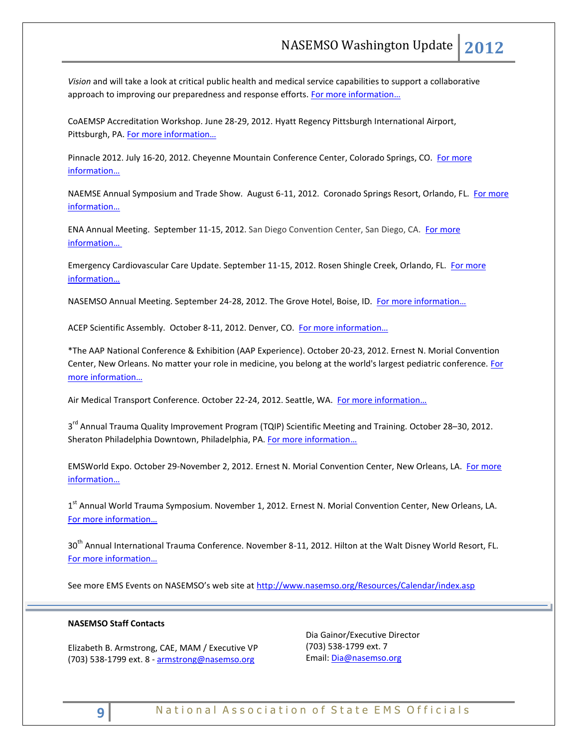*Vision* and will take a look at critical public health and medical service capabilities to support a collaborative approach to improving our preparedness and response efforts. [For more information…](http://www.ipha.com/Public/Events/EventDetails.aspx?eventId=151)

CoAEMSP Accreditation Workshop. June 28-29, 2012. Hyatt Regency Pittsburgh International Airport, Pittsburgh, PA. [For more information…](http://events.r20.constantcontact.com/register/event?oeidk=a07e5ifryxe6de7ee04&llr=5sz87kdab)

Pinnacle 2012. July 16-20, 2012. Cheyenne Mountain Conference Center, Colorado Springs, CO. [For more](http://www.pinnacle-ems.com/)  [information…](http://www.pinnacle-ems.com/)

NAEMSE Annual Symposium and Trade Show. August 6-11, 2012. Coronado Springs Resort, Orlando, FL. [For more](http://www.naemse.org/symposium)  [information…](http://www.naemse.org/symposium)

ENA Annual Meeting. September 11-15, 2012. San Diego Convention Center, San Diego, CA. [For more](http://www.ena.org/coursesandeducation/conferences/Pages/Default.aspx)  [information…](http://www.ena.org/coursesandeducation/conferences/Pages/Default.aspx)

Emergency Cardiovascular Care Update. September 11-15, 2012. Rosen Shingle Creek, Orlando, FL. [For more](http://www.eccu2012.com/)  [information…](http://www.eccu2012.com/)

NASEMSO Annual Meeting. September 24-28, 2012. The Grove Hotel, Boise, ID. For more information...

ACEP Scientific Assembly. October 8-11, 2012. Denver, CO. [For more information…](http://www.acep.org/Education/Continuing-Medical-Education-(CME)/Meetings/Future-Scientific-Assembly-Dates/)

\*The AAP National Conference & Exhibition (AAP Experience). October 20-23, 2012. Ernest N. Morial Convention Center, New Orleans. No matter your role in medicine, you belong at the world's largest pediatric conference. For [more information…](http://www.aapexperience.org/)

Air Medical Transport Conference. October 22-24, 2012. Seattle, WA. For more information...

3<sup>rd</sup> Annual Trauma Quality Improvement Program (TQIP) Scientific Meeting and Training. October 28–30, 2012. Sheraton Philadelphia Downtown, Philadelphia, PA[. For more information](http://www.facs.org/trauma/ntdb/tqip-meeting.html)...

EMSWorld Expo. October 29-November 2, 2012. Ernest N. Morial Convention Center, New Orleans, LA. [For more](http://emsworldexpo.com/)  [information…](http://emsworldexpo.com/)

1<sup>st</sup> Annual World Trauma Symposium. November 1, 2012. Ernest N. Morial Convention Center, New Orleans, LA. [For more information…](http://www.worldtraumasymposium.com/)

30<sup>th</sup> Annual International Trauma Conference. November 8-11, 2012. Hilton at the Walt Disney World Resort, FL. [For more information…](http://www.itrauma.org/conference/)

See more EMS Events on NASEMSO's web site at <http://www.nasemso.org/Resources/Calendar/index.asp>

#### **NASEMSO Staff Contacts**

Elizabeth B. Armstrong, CAE, MAM / Executive VP (703) 538-1799 ext. 8 - [armstrong@nasemso.org](mailto:armstrong@nasemso.org)

Dia Gainor/Executive Director (703) 538-1799 ext. 7 Email: [Dia@nasemso.org](mailto:Dia@nasemso.org)